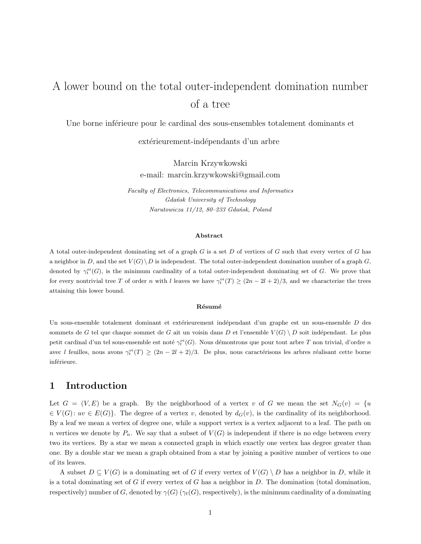# A lower bound on the total outer-independent domination number of a tree

Une borne inférieure pour le cardinal des sous-ensembles totalement dominants et

extérieurement-indépendants d'un arbre

Marcin Krzywkowski e-mail: marcin.krzywkowski@gmail.com

*Faculty of Electronics, Telecommunications and Informatics Gdańsk University of Technology Narutowicza 11/12, 80–233 Gdańsk, Poland*

#### **Abstract**

A total outer-independent dominating set of a graph G is a set D of vertices of G such that every vertex of G has a neighbor in D, and the set  $V(G) \backslash D$  is independent. The total outer-independent domination number of a graph G, denoted by  $\gamma_i^{oi}(G)$ , is the minimum cardinality of a total outer-independent dominating set of G. We prove that for every nontrivial tree T of order n with l leaves we have  $\gamma_t^{oi}(T) \geq (2n - 2l + 2)/3$ , and we characterize the trees attaining this lower bound.

### **R´esum´e**

Un sous-ensemble totalement dominant et extérieurement indépendant d'un graphe est un sous-ensemble D des sommets de G tel que chaque sommet de G ait un voisin dans D et l'ensemble  $V(G) \setminus D$  soit indépendant. Le plus petit cardinal d'un tel sous-ensemble est noté  $\gamma_t^{oi}(G)$ . Nous démontrons que pour tout arbre T non trivial, d'ordre n avec l feuilles, nous avons  $\gamma_i^{oi}(T) \ge (2n - 2l + 2)/3$ . De plus, nous caractérisons les arbres réalisant cette borne inférieure.

# **1 Introduction**

Let  $G = (V, E)$  be a graph. By the neighborhood of a vertex v of G we mean the set  $N_G(v) = \{u, w\}$  $\in V(G): uv \in E(G)$ . The degree of a vertex v, denoted by  $d_G(v)$ , is the cardinality of its neighborhood. By a leaf we mean a vertex of degree one, while a support vertex is a vertex adjacent to a leaf. The path on n vertices we denote by  $P_n$ . We say that a subset of  $V(G)$  is independent if there is no edge between every two its vertices. By a star we mean a connected graph in which exactly one vertex has degree greater than one. By a double star we mean a graph obtained from a star by joining a positive number of vertices to one of its leaves.

A subset  $D \subseteq V(G)$  is a dominating set of G if every vertex of  $V(G) \setminus D$  has a neighbor in D, while it is a total dominating set of  $G$  if every vertex of  $G$  has a neighbor in  $D$ . The domination (total domination, respectively) number of G, denoted by  $\gamma(G)$  ( $\gamma_t(G)$ , respectively), is the minimum cardinality of a dominating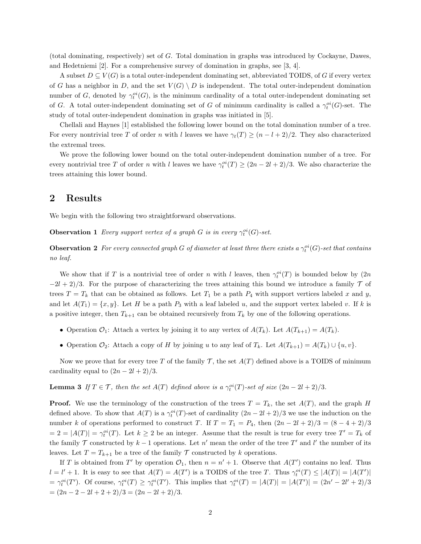(total dominating, respectively) set of G. Total domination in graphs was introduced by Cockayne, Dawes, and Hedetniemi [2]. For a comprehensive survey of domination in graphs, see [3, 4].

A subset  $D \subseteq V(G)$  is a total outer-independent dominating set, abbreviated TOIDS, of G if every vertex of G has a neighbor in D, and the set  $V(G) \setminus D$  is independent. The total outer-independent domination number of G, denoted by  $\gamma_t^{oi}(G)$ , is the minimum cardinality of a total outer-independent dominating set of G. A total outer-independent dominating set of G of minimum cardinality is called a  $\gamma_t^{oi}(G)$ -set. The study of total outer-independent domination in graphs was initiated in [5].

Chellali and Haynes [1] established the following lower bound on the total domination number of a tree. For every nontrivial tree T of order n with l leaves we have  $\gamma_t(T) \geq (n - l + 2)/2$ . They also characterized the extremal trees.

We prove the following lower bound on the total outer-independent domination number of a tree. For every nontrivial tree T of order n with l leaves we have  $\gamma_t^{oi}(T) \ge (2n - 2l + 2)/3$ . We also characterize the trees attaining this lower bound.

### **2 Results**

We begin with the following two straightforward observations.

**Observation 1** *Every support vertex of a graph*  $G$  *is in every*  $\gamma_t^{oi}(G)$ -set.

**Observation 2** For every connected graph G of diameter at least three there exists a  $\gamma_t^{oi}(G)$ -set that contains *no leaf.*

We show that if T is a nontrivial tree of order n with l leaves, then  $\gamma_t^{oi}(T)$  is bounded below by  $(2n)$  $-2l + 2/3$ . For the purpose of characterizing the trees attaining this bound we introduce a family  $\mathcal T$  of trees  $T = T_k$  that can be obtained as follows. Let  $T_1$  be a path  $P_4$  with support vertices labeled x and y, and let  $A(T_1) = \{x, y\}$ . Let H be a path  $P_3$  with a leaf labeled u, and the support vertex labeled v. If k is a positive integer, then  $T_{k+1}$  can be obtained recursively from  $T_k$  by one of the following operations.

- Operation  $\mathcal{O}_1$ : Attach a vertex by joining it to any vertex of  $A(T_k)$ . Let  $A(T_{k+1}) = A(T_k)$ .
- Operation  $\mathcal{O}_2$ : Attach a copy of H by joining u to any leaf of  $T_k$ . Let  $A(T_{k+1}) = A(T_k) \cup \{u, v\}$ .

Now we prove that for every tree T of the family T, the set  $A(T)$  defined above is a TOIDS of minimum cardinality equal to  $(2n-2l+2)/3$ .

**Lemma 3** *If*  $T \in \mathcal{T}$ *, then the set*  $A(T)$  *defined above is a*  $\gamma_t^{oi}(T)$ *-set of size*  $(2n - 2l + 2)/3$ *.* 

**Proof.** We use the terminology of the construction of the trees  $T = T_k$ , the set  $A(T)$ , and the graph H defined above. To show that  $A(T)$  is a  $\gamma_t^{oi}(T)$ -set of cardinality  $(2n-2l+2)/3$  we use the induction on the number k of operations performed to construct T. If  $T = T_1 = P_4$ , then  $(2n - 2l + 2)/3 = (8 - 4 + 2)/3$  $= 2 = |A(T)| = \gamma_t^{oi}(T)$ . Let  $k \ge 2$  be an integer. Assume that the result is true for every tree  $T' = T_k$  of the family T constructed by  $k-1$  operations. Let n' mean the order of the tree T' and l' the number of its leaves. Let  $T = T_{k+1}$  be a tree of the family  $T$  constructed by k operations.

If T is obtained from T' by operation  $\mathcal{O}_1$ , then  $n = n' + 1$ . Observe that  $A(T')$  contains no leaf. Thus  $l = l' + 1$ . It is easy to see that  $A(T) = A(T')$  is a TOIDS of the tree T. Thus  $\gamma_t^{oi}(T) \leq |A(T)| = |A(T')|$  $=\gamma_t^{oi}(T')$ . Of course,  $\gamma_t^{oi}(T) \geq \gamma_t^{oi}(T')$ . This implies that  $\gamma_t^{oi}(T) = |A(T)| = |A(T')| = (2n' - 2l' + 2)/3$  $=(2n-2-2l+2+2)/3=(2n-2l+2)/3.$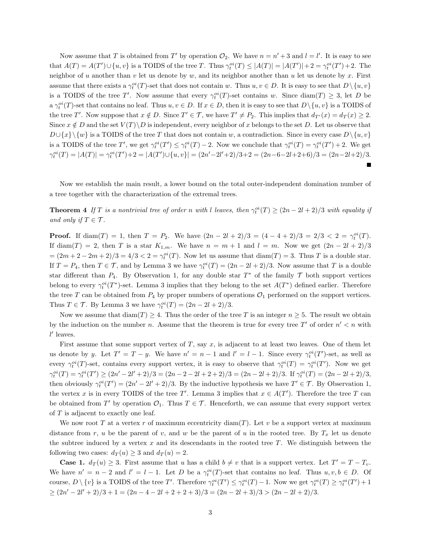Now assume that T is obtained from T' by operation  $\mathcal{O}_2$ . We have  $n = n' + 3$  and  $l = l'$ . It is easy to see that  $A(T) = A(T') \cup \{u, v\}$  is a TOIDS of the tree T. Thus  $\gamma_t^{oi}(T) \leq |A(T)| = |A(T')| + 2 = \gamma_t^{oi}(T') + 2$ . The neighbor of u another than v let us denote by w, and its neighbor another than u let us denote by x. First assume that there exists a  $\gamma_t^{oi}(T)$ -set that does not contain w. Thus  $u, v \in D$ . It is easy to see that  $D \setminus \{u, v\}$ is a TOIDS of the tree T'. Now assume that every  $\gamma_t^{oi}(T)$ -set contains w. Since  $\text{diam}(T) \geq 3$ , let D be a  $\gamma_t^{oi}(T)$ -set that contains no leaf. Thus  $u, v \in D$ . If  $x \in D$ , then it is easy to see that  $D \setminus \{u, v\}$  is a TOIDS of the tree T'. Now suppose that  $x \notin D$ . Since  $T' \in \mathcal{T}$ , we have  $T' \neq P_2$ . This implies that  $d_{T'}(x) = d_T(x) \geq 2$ . Since  $x \notin D$  and the set  $V(T) \backslash D$  is independent, every neighbor of x belongs to the set D. Let us observe that  $D\cup\{x\}\{w\}$  is a TOIDS of the tree T that does not contain w, a contradiction. Since in every case  $D\setminus\{u, v\}$ is a TOIDS of the tree T', we get  $\gamma_t^{oi}(T') \leq \gamma_t^{oi}(T) - 2$ . Now we conclude that  $\gamma_t^{oi}(T) = \gamma_t^{oi}(T') + 2$ . We get  $\gamma_t^{oi}(T) = |A(T)| = \gamma_t^{oi}(T') + 2 = |A(T') \cup \{u, v\}| = (2n' - 2l' + 2)/3 + 2 = (2n - 6 - 2l + 2 + 6)/3 = (2n - 2l + 2)/3.$ 

Now we establish the main result, a lower bound on the total outer-independent domination number of a tree together with the characterization of the extremal trees.

**Theorem 4** If T is a nontrivial tree of order n with l leaves, then  $\gamma_t^{oi}(T) \geq (2n - 2l + 2)/3$  with equality if *and only if*  $T \in \mathcal{T}$ *.* 

**Proof.** If  $\text{diam}(T) = 1$ , then  $T = P_2$ . We have  $(2n - 2l + 2)/3 = (4 - 4 + 2)/3 = 2/3 < 2 = \gamma_t^{oi}(T)$ . If diam(T) = 2, then T is a star  $K_{1,m}$ . We have  $n = m + 1$  and  $l = m$ . Now we get  $(2n - 2l + 2)/3$  $=(2m+2-2m+2)/3=4/3<2=\gamma_t^{oi}(T)$ . Now let us assume that  $\text{diam}(T)=3$ . Thus T is a double star. If  $T = P_4$ , then  $T \in \mathcal{T}$ , and by Lemma 3 we have  $\gamma_t^{oi}(T) = (2n - 2l + 2)/3$ . Now assume that T is a double star different than  $P_4$ . By Observation 1, for any double star  $T^*$  of the family  $\mathcal T$  both support vertices belong to every  $\gamma_t^{oi}(T^*)$ -set. Lemma 3 implies that they belong to the set  $A(T^*)$  defined earlier. Therefore the tree T can be obtained from  $P_4$  by proper numbers of operations  $\mathcal{O}_1$  performed on the support vertices. Thus  $T \in \mathcal{T}$ . By Lemma 3 we have  $\gamma_t^{oi}(T) = (2n - 2l + 2)/3$ .

Now we assume that  $\text{diam}(T) \geq 4$ . Thus the order of the tree T is an integer  $n \geq 5$ . The result we obtain by the induction on the number n. Assume that the theorem is true for every tree T' of order  $n' < n$  with  $l'$  leaves.

First assume that some support vertex of  $T$ , say  $x$ , is adjacent to at least two leaves. One of them let us denote by y. Let  $T' = T - y$ . We have  $n' = n - 1$  and  $l' = l - 1$ . Since every  $\gamma_t^{oi}(T')$ -set, as well as every  $\gamma_t^{oi}(T)$ -set, contains every support vertex, it is easy to observe that  $\gamma_t^{oi}(T) = \gamma_t^{oi}(T')$ . Now we get  $\gamma_t^{oi}(T) = \gamma_t^{oi}(T') \ge (2n' - 2l' + 2)/3 = (2n - 2 - 2l + 2 + 2)/3 = (2n - 2l + 2)/3$ . If  $\gamma_t^{oi}(T) = (2n - 2l + 2)/3$ , then obviously  $\gamma_t^{oi}(T') = (2n' - 2l' + 2)/3$ . By the inductive hypothesis we have  $T' \in \mathcal{T}$ . By Observation 1, the vertex x is in every TOIDS of the tree T'. Lemma 3 implies that  $x \in A(T')$ . Therefore the tree T can be obtained from T' by operation  $\mathcal{O}_1$ . Thus  $T \in \mathcal{T}$ . Henceforth, we can assume that every support vertex of T is adjacent to exactly one leaf.

We now root T at a vertex r of maximum eccentricity diam(T). Let v be a support vertex at maximum distance from r, u be the parent of v, and w be the parent of u in the rooted tree. By  $T_x$  let us denote the subtree induced by a vertex  $x$  and its descendants in the rooted tree  $T$ . We distinguish between the following two cases:  $d_T(u) \geq 3$  and  $d_T(u) = 2$ .

**Case 1.**  $d_T(u) \geq 3$ . First assume that u has a child  $b \neq v$  that is a support vertex. Let  $T' = T - T_v$ . We have  $n' = n - 2$  and  $l' = l - 1$ . Let D be a  $\gamma_i^{oi}(T)$ -set that contains no leaf. Thus  $u, v, b \in D$ . Of course,  $D \setminus \{v\}$  is a TOIDS of the tree T'. Therefore  $\gamma_t^{oi}(T') \leq \gamma_t^{oi}(T) - 1$ . Now we get  $\gamma_t^{oi}(T) \geq \gamma_t^{oi}(T') + 1$  $\geq (2n'-2l'+2)/3+1 = (2n-4-2l+2+2+3)/3 = (2n-2l+3)/3 > (2n-2l+2)/3.$